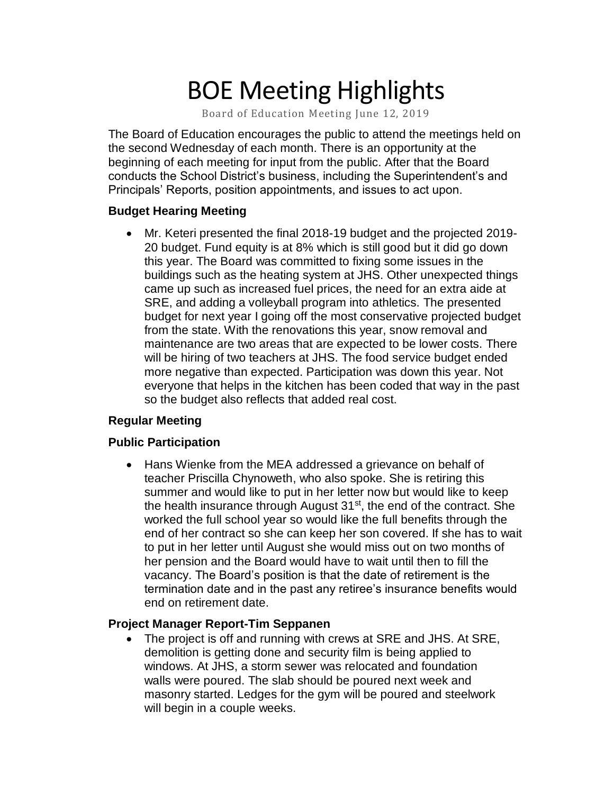# BOE Meeting Highlights

Board of Education Meeting June 12, 2019

 The Board of Education encourages the public to attend the meetings held on the second Wednesday of each month. There is an opportunity at the beginning of each meeting for input from the public. After that the Board conducts the School District's business, including the Superintendent's and Principals' Reports, position appointments, and issues to act upon.

#### **Budget Hearing Meeting**

 • Mr. Keteri presented the final 2018-19 budget and the projected 2019- 20 budget. Fund equity is at 8% which is still good but it did go down this year. The Board was committed to fixing some issues in the buildings such as the heating system at JHS. Other unexpected things came up such as increased fuel prices, the need for an extra aide at SRE, and adding a volleyball program into athletics. The presented budget for next year I going off the most conservative projected budget from the state. With the renovations this year, snow removal and maintenance are two areas that are expected to be lower costs. There will be hiring of two teachers at JHS. The food service budget ended more negative than expected. Participation was down this year. Not everyone that helps in the kitchen has been coded that way in the past so the budget also reflects that added real cost.

### **Regular Meeting**

### **Public Participation**

 • Hans Wienke from the MEA addressed a grievance on behalf of teacher Priscilla Chynoweth, who also spoke. She is retiring this summer and would like to put in her letter now but would like to keep the health insurance through August 31<sup>st</sup>, the end of the contract. She worked the full school year so would like the full benefits through the end of her contract so she can keep her son covered. If she has to wait to put in her letter until August she would miss out on two months of her pension and the Board would have to wait until then to fill the vacancy. The Board's position is that the date of retirement is the termination date and in the past any retiree's insurance benefits would end on retirement date.

### **Project Manager Report-Tim Seppanen**

• The project is off and running with crews at SRE and JHS. At SRE, demolition is getting done and security film is being applied to windows. At JHS, a storm sewer was relocated and foundation walls were poured. The slab should be poured next week and masonry started. Ledges for the gym will be poured and steelwork will begin in a couple weeks.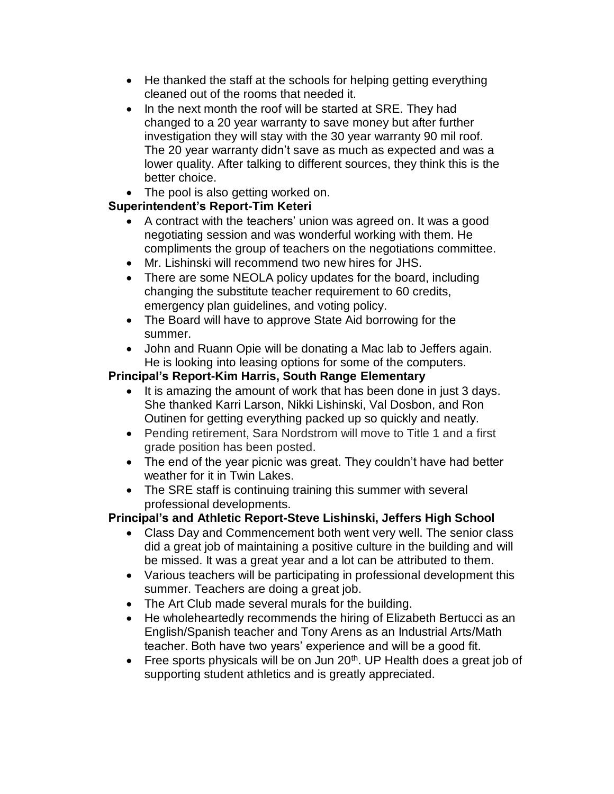- He thanked the staff at the schools for helping getting everything cleaned out of the rooms that needed it.
- In the next month the roof will be started at SRE. They had changed to a 20 year warranty to save money but after further investigation they will stay with the 30 year warranty 90 mil roof. The 20 year warranty didn't save as much as expected and was a lower quality. After talking to different sources, they think this is the better choice.
- The pool is also getting worked on.

## **Superintendent's Report-Tim Keteri**

- A contract with the teachers' union was agreed on. It was a good negotiating session and was wonderful working with them. He compliments the group of teachers on the negotiations committee.
- Mr. Lishinski will recommend two new hires for JHS.
- There are some NEOLA policy updates for the board, including changing the substitute teacher requirement to 60 credits, emergency plan guidelines, and voting policy.
- The Board will have to approve State Aid borrowing for the summer.
- John and Ruann Opie will be donating a Mac lab to Jeffers again. He is looking into leasing options for some of the computers.

## **Principal's Report-Kim Harris, South Range Elementary**

- • It is amazing the amount of work that has been done in just 3 days. She thanked Karri Larson, Nikki Lishinski, Val Dosbon, and Ron Outinen for getting everything packed up so quickly and neatly.
- • Pending retirement, Sara Nordstrom will move to Title 1 and a first grade position has been posted.
- • The end of the year picnic was great. They couldn't have had better weather for it in Twin Lakes.
- • The SRE staff is continuing training this summer with several professional developments.

## **Principal's and Athletic Report-Steve Lishinski, Jeffers High School**

- • Class Day and Commencement both went very well. The senior class did a great job of maintaining a positive culture in the building and will be missed. It was a great year and a lot can be attributed to them.
- • Various teachers will be participating in professional development this summer. Teachers are doing a great job.
- The Art Club made several murals for the building.
- • He wholeheartedly recommends the hiring of Elizabeth Bertucci as an English/Spanish teacher and Tony Arens as an Industrial Arts/Math teacher. Both have two years' experience and will be a good fit.
- Free sports physicals will be on Jun  $20<sup>th</sup>$ . UP Health does a great job of supporting student athletics and is greatly appreciated.